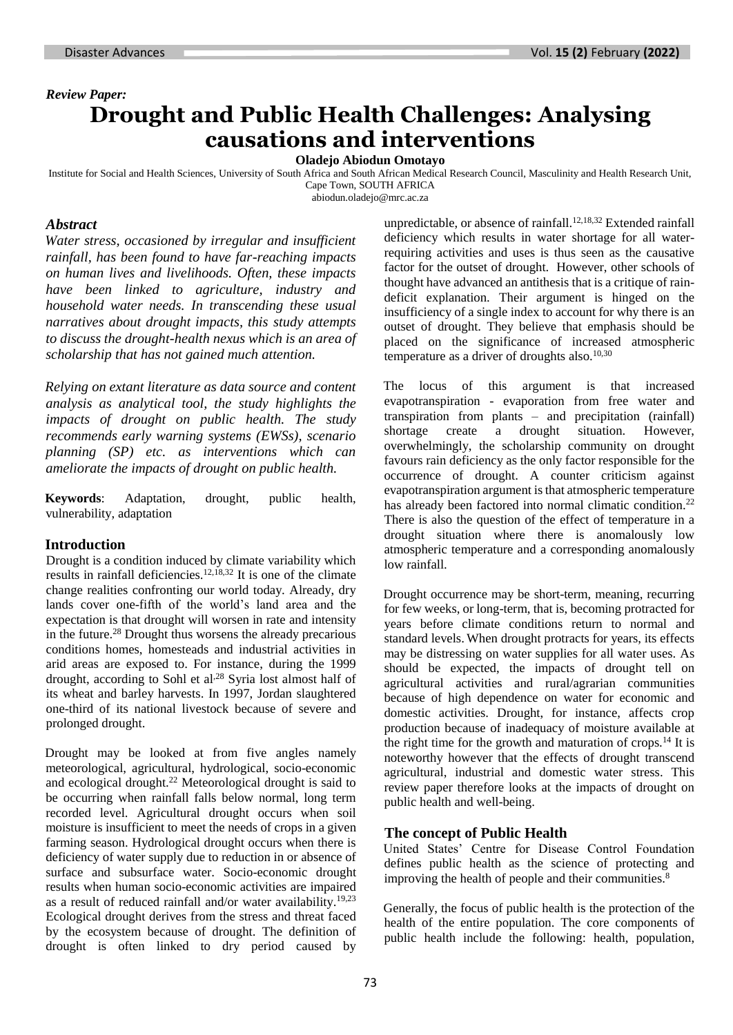# *Review Paper:* **Drought and Public Health Challenges: Analysing causations and interventions**

### **Oladejo Abiodun Omotayo**

Institute for Social and Health Sciences, University of South Africa and South African Medical Research Council, Masculinity and Health Research Unit, Cape Town, SOUTH AFRICA

[abiodun.oladejo@mrc.ac.za](mailto:abiodun.oladejo@mrc.ac.za)

#### *Abstract*

*Water stress, occasioned by irregular and insufficient rainfall, has been found to have far-reaching impacts on human lives and livelihoods. Often, these impacts have been linked to agriculture, industry and household water needs. In transcending these usual narratives about drought impacts, this study attempts to discuss the drought-health nexus which is an area of scholarship that has not gained much attention.* 

*Relying on extant literature as data source and content analysis as analytical tool, the study highlights the impacts of drought on public health. The study recommends early warning systems (EWSs), scenario planning (SP) etc. as interventions which can ameliorate the impacts of drought on public health.*

**Keywords**: Adaptation, drought, public health, vulnerability, adaptation

#### **Introduction**

Drought is a condition induced by climate variability which results in rainfall deficiencies.12,18,32 It is one of the climate change realities confronting our world today. Already, dry lands cover one-fifth of the world's land area and the expectation is that drought will worsen in rate and intensity in the future.<sup>28</sup> Drought thus worsens the already precarious conditions homes, homesteads and industrial activities in arid areas are exposed to. For instance, during the 1999 drought, according to Sohl et al,<sup>28</sup> Syria lost almost half of its wheat and barley harvests. In 1997, Jordan slaughtered one-third of its national livestock because of severe and prolonged drought.

Drought may be looked at from five angles namely meteorological, agricultural, hydrological, socio-economic and ecological drought.<sup>22</sup> Meteorological drought is said to be occurring when rainfall falls below normal, long term recorded level. Agricultural drought occurs when soil moisture is insufficient to meet the needs of crops in a given farming season. Hydrological drought occurs when there is deficiency of water supply due to reduction in or absence of surface and subsurface water. Socio-economic drought results when human socio-economic activities are impaired as a result of reduced rainfall and/or water availability.19,23 Ecological drought derives from the stress and threat faced by the ecosystem because of drought. The definition of drought is often linked to dry period caused by

unpredictable, or absence of rainfall.12,18,32 Extended rainfall deficiency which results in water shortage for all waterrequiring activities and uses is thus seen as the causative factor for the outset of drought. However, other schools of thought have advanced an antithesis that is a critique of raindeficit explanation. Their argument is hinged on the insufficiency of a single index to account for why there is an outset of drought. They believe that emphasis should be placed on the significance of increased atmospheric temperature as a driver of droughts also. $10,30$ 

The locus of this argument is that increased evapotranspiration - evaporation from free water and transpiration from plants – and precipitation (rainfall) shortage create a drought situation. However, overwhelmingly, the scholarship community on drought favours rain deficiency as the only factor responsible for the occurrence of drought. A counter criticism against evapotranspiration argument is that atmospheric temperature has already been factored into normal climatic condition.<sup>22</sup> There is also the question of the effect of temperature in a drought situation where there is anomalously low atmospheric temperature and a corresponding anomalously low rainfall.

Drought occurrence may be short-term, meaning, recurring for few weeks, or long-term, that is, becoming protracted for years before climate conditions return to normal and standard levels. When drought protracts for years, its effects may be distressing on water supplies for all water uses. As should be expected, the impacts of drought tell on agricultural activities and rural/agrarian communities because of high dependence on water for economic and domestic activities. Drought, for instance, affects crop production because of inadequacy of moisture available at the right time for the growth and maturation of crops.<sup>14</sup> It is noteworthy however that the effects of drought transcend agricultural, industrial and domestic water stress. This review paper therefore looks at the impacts of drought on public health and well-being.

# **The concept of Public Health**

United States' Centre for Disease Control Foundation defines public health as the science of protecting and improving the health of people and their communities.<sup>8</sup>

Generally, the focus of public health is the protection of the health of the entire population. The core components of public health include the following: health, population,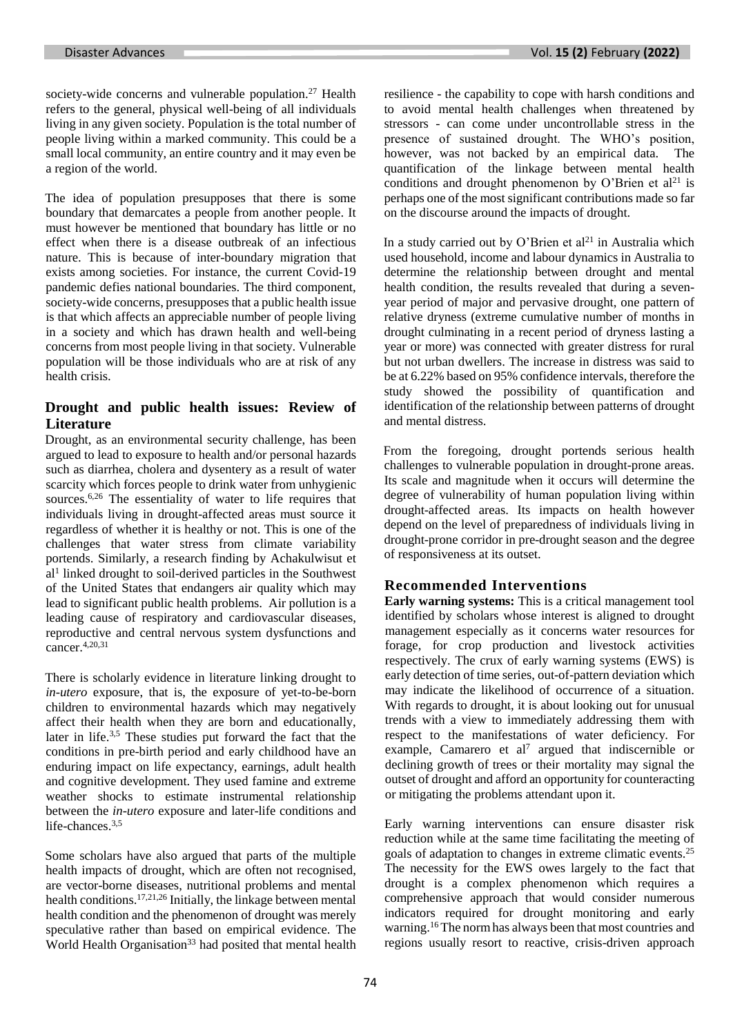society-wide concerns and vulnerable population.<sup>27</sup> Health refers to the general, physical well-being of all individuals living in any given society. Population is the total number of people living within a marked community. This could be a small local community, an entire country and it may even be a region of the world.

The idea of population presupposes that there is some boundary that demarcates a people from another people. It must however be mentioned that boundary has little or no effect when there is a disease outbreak of an infectious nature. This is because of inter-boundary migration that exists among societies. For instance, the current Covid-19 pandemic defies national boundaries. The third component, society-wide concerns, presupposes that a public health issue is that which affects an appreciable number of people living in a society and which has drawn health and well-being concerns from most people living in that society. Vulnerable population will be those individuals who are at risk of any health crisis.

# **Drought and public health issues: Review of Literature**

Drought, as an environmental security challenge, has been argued to lead to exposure to health and/or personal hazards such as diarrhea, cholera and dysentery as a result of water scarcity which forces people to drink water from unhygienic sources.<sup>6,26</sup> The essentiality of water to life requires that individuals living in drought-affected areas must source it regardless of whether it is healthy or not. This is one of the challenges that water stress from climate variability portends. Similarly, a research finding by Achakulwisut et al1 linked drought to soil-derived particles in the Southwest of the United States that endangers air quality which may lead to significant public health problems. Air pollution is a leading cause of respiratory and cardiovascular diseases, reproductive and central nervous system dysfunctions and cancer.4,20,31

There is scholarly evidence in literature linking drought to *in-utero* exposure, that is, the exposure of yet-to-be-born children to environmental hazards which may negatively affect their health when they are born and educationally, later in life.3,5 These studies put forward the fact that the conditions in pre-birth period and early childhood have an enduring impact on life expectancy, earnings, adult health and cognitive development. They used famine and extreme weather shocks to estimate instrumental relationship between the *in-utero* exposure and later-life conditions and life-chances.3,5

Some scholars have also argued that parts of the multiple health impacts of drought, which are often not recognised, are vector-borne diseases, nutritional problems and mental health conditions.17,21,26 Initially, the linkage between mental health condition and the phenomenon of drought was merely speculative rather than based on empirical evidence. The World Health Organisation<sup>33</sup> had posited that mental health resilience - the capability to cope with harsh conditions and to avoid mental health challenges when threatened by stressors - can come under uncontrollable stress in the presence of sustained drought. The WHO's position, however, was not backed by an empirical data. The quantification of the linkage between mental health conditions and drought phenomenon by O'Brien et  $al<sup>21</sup>$  is perhaps one of the most significant contributions made so far on the discourse around the impacts of drought.

In a study carried out by O'Brien et  $al<sup>21</sup>$  in Australia which used household, income and labour dynamics in Australia to determine the relationship between drought and mental health condition, the results revealed that during a sevenyear period of major and pervasive drought, one pattern of relative dryness (extreme cumulative number of months in drought culminating in a recent period of dryness lasting a year or more) was connected with greater distress for rural but not urban dwellers. The increase in distress was said to be at 6.22% based on 95% confidence intervals, therefore the study showed the possibility of quantification and identification of the relationship between patterns of drought and mental distress.

From the foregoing, drought portends serious health challenges to vulnerable population in drought-prone areas. Its scale and magnitude when it occurs will determine the degree of vulnerability of human population living within drought-affected areas. Its impacts on health however depend on the level of preparedness of individuals living in drought-prone corridor in pre-drought season and the degree of responsiveness at its outset.

# **Recommended Interventions**

**Early warning systems:** This is a critical management tool identified by scholars whose interest is aligned to drought management especially as it concerns water resources for forage, for crop production and livestock activities respectively. The crux of early warning systems (EWS) is early detection of time series, out-of-pattern deviation which may indicate the likelihood of occurrence of a situation. With regards to drought, it is about looking out for unusual trends with a view to immediately addressing them with respect to the manifestations of water deficiency. For example, Camarero et al<sup>7</sup> argued that indiscernible or declining growth of trees or their mortality may signal the outset of drought and afford an opportunity for counteracting or mitigating the problems attendant upon it.

Early warning interventions can ensure disaster risk reduction while at the same time facilitating the meeting of goals of adaptation to changes in extreme climatic events.<sup>25</sup> The necessity for the EWS owes largely to the fact that drought is a complex phenomenon which requires a comprehensive approach that would consider numerous indicators required for drought monitoring and early warning. <sup>16</sup> The normhas always been that most countries and regions usually resort to reactive, crisis-driven approach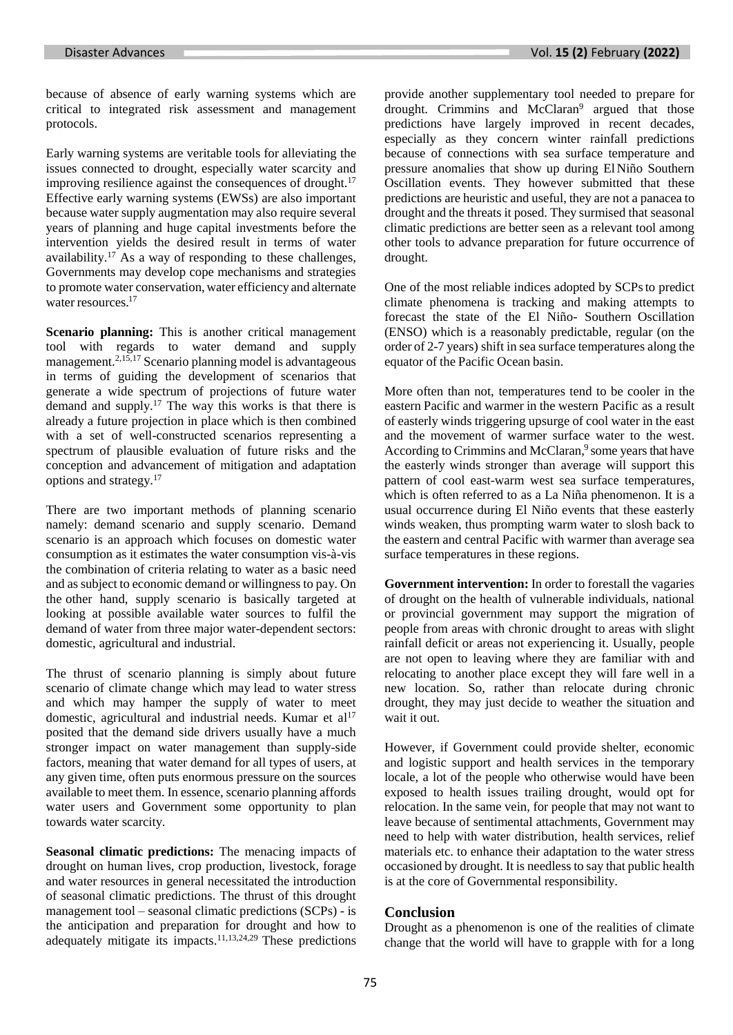because of absence of early warning systems which are critical to integrated risk assessment and management protocols.

Early warning systems are veritable tools for alleviating the issues connected to drought, especially water scarcity and improving resilience against the consequences of drought. $17$ Effective early warning systems (EWSs) are also important because water supply augmentation may also require several years of planning and huge capital investments before the intervention yields the desired result in terms of water availability.<sup>17</sup> As a way of responding to these challenges, Governments may develop cope mechanisms and strategies to promote water conservation, water efficiency and alternate water resources. 17

**Scenario planning:** This is another critical management tool with regards to water demand and supply management.2,15,17 Scenario planning model is advantageous in terms of guiding the development of scenarios that generate a wide spectrum of projections of future water demand and supply.<sup>17</sup> The way this works is that there is already a future projection in place which is then combined with a set of well-constructed scenarios representing a spectrum of plausible evaluation of future risks and the conception and advancement of mitigation and adaptation options and strategy.<sup>17</sup>

There are two important methods of planning scenario namely: demand scenario and supply scenario. Demand scenario is an approach which focuses on domestic water consumption as it estimates the water consumption vis-à-vis the combination of criteria relating to water as a basic need and as subject to economic demand or willingness to pay. On the other hand, supply scenario is basically targeted at looking at possible available water sources to fulfil the demand of water from three major water-dependent sectors: domestic, agricultural and industrial.

The thrust of scenario planning is simply about future scenario of climate change which may lead to water stress and which may hamper the supply of water to meet domestic, agricultural and industrial needs. Kumar et al<sup>17</sup> posited that the demand side drivers usually have a much stronger impact on water management than supply-side factors, meaning that water demand for all types of users, at any given time, often puts enormous pressure on the sources available to meet them. In essence, scenario planning affords water users and Government some opportunity to plan towards water scarcity.

**Seasonal climatic predictions:** The menacing impacts of drought on human lives, crop production, livestock, forage and water resources in general necessitated the introduction of seasonal climatic predictions. The thrust of this drought management tool – seasonal climatic predictions (SCPs) - is the anticipation and preparation for drought and how to adequately mitigate its impacts.11,13,24,29 These predictions provide another supplementary tool needed to prepare for drought. Crimmins and McClaran<sup>9</sup> argued that those predictions have largely improved in recent decades, especially as they concern winter rainfall predictions because of connections with sea surface temperature and pressure anomalies that show up during ElNiño Southern Oscillation events. They however submitted that these predictions are heuristic and useful, they are not a panacea to drought and the threats it posed. They surmised that seasonal climatic predictions are better seen as a relevant tool among other tools to advance preparation for future occurrence of drought.

One of the most reliable indices adopted by SCPsto predict climate phenomena is tracking and making attempts to forecast the state of the El Niño- Southern Oscillation (ENSO) which is a reasonably predictable, regular (on the order of 2-7 years) shift in sea surface temperatures along the equator of the Pacific Ocean basin.

More often than not, temperatures tend to be cooler in the eastern Pacific and warmer in the western Pacific as a result of easterly winds triggering upsurge of cool water in the east and the movement of warmer surface water to the west. According to Crimmins and McClaran,<sup>9</sup> some years that have the easterly winds stronger than average will support this pattern of cool east-warm west sea surface temperatures, which is often referred to as a La Niña phenomenon. It is a usual occurrence during El Niño events that these easterly winds weaken, thus prompting warm water to slosh back to the eastern and central Pacific with warmer than average sea surface temperatures in these regions.

**Government intervention:** In order to forestall the vagaries of drought on the health of vulnerable individuals, national or provincial government may support the migration of people from areas with chronic drought to areas with slight rainfall deficit or areas not experiencing it. Usually, people are not open to leaving where they are familiar with and relocating to another place except they will fare well in a new location. So, rather than relocate during chronic drought, they may just decide to weather the situation and wait it out.

However, if Government could provide shelter, economic and logistic support and health services in the temporary locale, a lot of the people who otherwise would have been exposed to health issues trailing drought, would opt for relocation. In the same vein, for people that may not want to leave because of sentimental attachments, Government may need to help with water distribution, health services, relief materials etc. to enhance their adaptation to the water stress occasioned by drought. It is needless to say that public health is at the core of Governmental responsibility.

#### **Conclusion**

Drought as a phenomenon is one of the realities of climate change that the world will have to grapple with for a long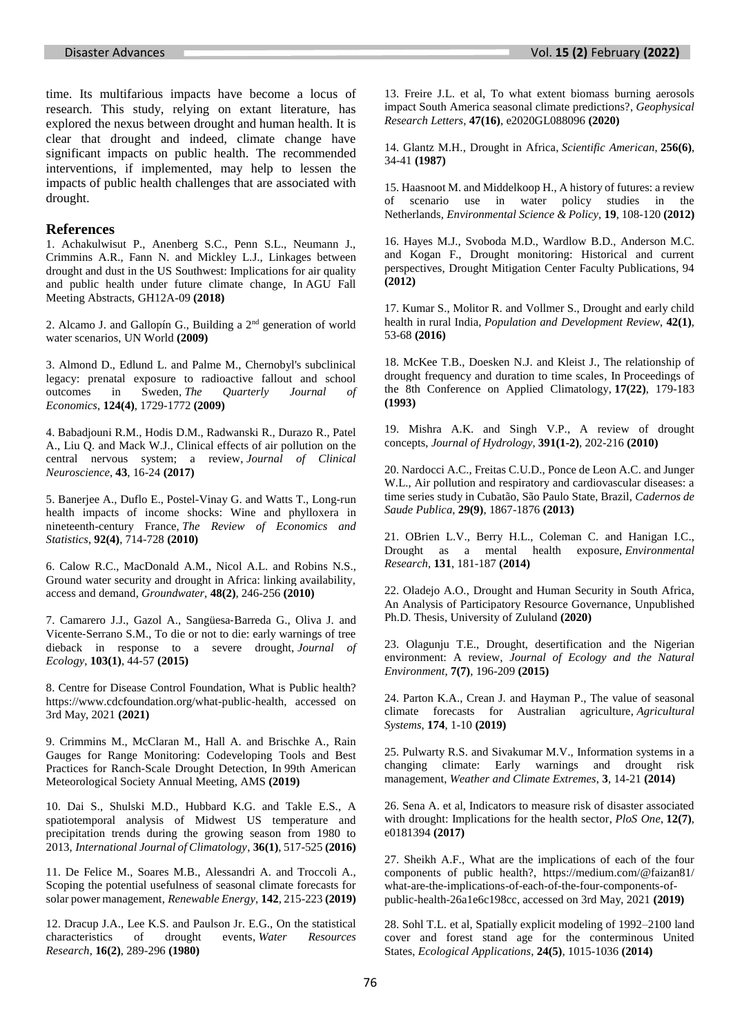time. Its multifarious impacts have become a locus of research. This study, relying on extant literature, has explored the nexus between drought and human health. It is clear that drought and indeed, climate change have significant impacts on public health. The recommended interventions, if implemented, may help to lessen the impacts of public health challenges that are associated with drought.

#### **References**

1. Achakulwisut P., Anenberg S.C., Penn S.L., Neumann J., Crimmins A.R., Fann N. and Mickley L.J., Linkages between drought and dust in the US Southwest: Implications for air quality and public health under future climate change, In AGU Fall Meeting Abstracts, GH12A-09 **(2018)**

2. Alcamo J. and Gallopín G., Building a 2nd generation of world water scenarios, UN World **(2009)**

3. Almond D., Edlund L. and Palme M., Chernobyl's subclinical legacy: prenatal exposure to radioactive fallout and school outcomes in Sweden, *The Quarterly Journal of Economics*, **124(4)**, 1729-1772 **(2009)**

4. Babadjouni R.M., Hodis D.M., Radwanski R., Durazo R., Patel A., Liu Q. and Mack W.J., Clinical effects of air pollution on the central nervous system; a review, *Journal of Clinical Neuroscience*, **43**, 16-24 **(2017)**

5. Banerjee A., Duflo E., Postel-Vinay G. and Watts T., Long-run health impacts of income shocks: Wine and phylloxera in nineteenth-century France, *The Review of Economics and Statistics*, **92(4)**, 714-728 **(2010)**

6. Calow R.C., MacDonald A.M., Nicol A.L. and Robins N.S., Ground water security and drought in Africa: linking availability, access and demand, *Groundwater*, **48(2)**, 246-256 **(2010)**

7. Camarero J.J., Gazol A., Sangüesa‐Barreda G., Oliva J. and Vicente‐Serrano S.M., To die or not to die: early warnings of tree dieback in response to a severe drought, *Journal of Ecology*, **103(1)**, 44-57 **(2015)**

8. Centre for Disease Control Foundation, What is Public health? [https://www.cdcfoundation.org/what-public-health,](https://www.cdcfoundation.org/what-public-health) accessed on 3rd May, 2021 **(2021)**

9. Crimmins M., McClaran M., Hall A. and Brischke A., Rain Gauges for Range Monitoring: Codeveloping Tools and Best Practices for Ranch-Scale Drought Detection, In 99th American Meteorological Society Annual Meeting, AMS **(2019)**

10. Dai S., Shulski M.D., Hubbard K.G. and Takle E.S., A spatiotemporal analysis of Midwest US temperature and precipitation trends during the growing season from 1980 to 2013, *International Journal of Climatology*, **36(1)**, 517-525 **(2016)**

11. De Felice M., Soares M.B., Alessandri A. and Troccoli A., Scoping the potential usefulness of seasonal climate forecasts for solar power management, *Renewable Energy*, **142**, 215-223 **(2019)**

12. Dracup J.A., Lee K.S. and Paulson Jr. E.G., On the statistical characteristics of drought events, *Water Resources Research*, **16(2)**, 289-296 **(1980)**

13. Freire J.L. et al, To what extent biomass burning aerosols impact South America seasonal climate predictions?, *Geophysical Research Letters*, **47(16)**, e2020GL088096 **(2020)**

14. Glantz M.H., Drought in Africa, *Scientific American*, **256(6)**, 34-41 **(1987)**

15. Haasnoot M. and Middelkoop H., A history of futures: a review of scenario use in water policy studies in the Netherlands, *Environmental Science & Policy*, **19**, 108-120 **(2012)**

16. Hayes M.J., Svoboda M.D., Wardlow B.D., Anderson M.C. and Kogan F., Drought monitoring: Historical and current perspectives, Drought Mitigation Center Faculty Publications, 94 **(2012)**

17. Kumar S., Molitor R. and Vollmer S., Drought and early child health in rural India, *Population and Development Review*, **42(1)**, 53-68 **(2016)**

18. McKee T.B., Doesken N.J. and Kleist J., The relationship of drought frequency and duration to time scales, In Proceedings of the 8th Conference on Applied Climatology, **17(22)**, 179-183 **(1993)**

19. Mishra A.K. and Singh V.P., A review of drought concepts, *Journal of Hydrology*, **391(1-2)**, 202-216 **(2010)**

20. Nardocci A.C., Freitas C.U.D., Ponce de Leon A.C. and Junger W.L., Air pollution and respiratory and cardiovascular diseases: a time series study in Cubatão, São Paulo State, Brazil, *Cadernos de Saude Publica*, **29(9)**, 1867-1876 **(2013)**

21. OBrien L.V., Berry H.L., Coleman C. and Hanigan I.C., Drought as a mental health exposure, *Environmental Research*, **131**, 181-187 **(2014)**

22. Oladejo A.O., Drought and Human Security in South Africa, An Analysis of Participatory Resource Governance, Unpublished Ph.D. Thesis, University of Zululand **(2020)**

23. Olagunju T.E., Drought, desertification and the Nigerian environment: A review, *Journal of Ecology and the Natural Environment*, **7(7)**, 196-209 **(2015)**

24. Parton K.A., Crean J. and Hayman P., The value of seasonal climate forecasts for Australian agriculture, *Agricultural Systems*, **174**, 1-10 **(2019)**

25. Pulwarty R.S. and Sivakumar M.V., Information systems in a changing climate: Early warnings and drought risk management, *Weather and Climate Extremes*, **3**, 14-21 **(2014)**

26. Sena A. et al, Indicators to measure risk of disaster associated with drought: Implications for the health sector, *PloS One*, **12(7)**, e0181394 **(2017)**

27. Sheikh A.F., What are the implications of each of the four components of public health?, [https://medium.com/@faizan81/](https://medium.com/@faizan81/%20what-are-the-implications-of-each-of-the-four-components-of-public-health-26a1e6c198cc)  [what-are-the-implications-of-each-of-the-four-components-of](https://medium.com/@faizan81/%20what-are-the-implications-of-each-of-the-four-components-of-public-health-26a1e6c198cc)[public-health-26a1e6c198cc,](https://medium.com/@faizan81/%20what-are-the-implications-of-each-of-the-four-components-of-public-health-26a1e6c198cc) accessed on 3rd May, 2021 **(2019)**

28. Sohl T.L. et al, Spatially explicit modeling of 1992–2100 land cover and forest stand age for the conterminous United States, *Ecological Applications*, **24(5)**, 1015-1036 **(2014)**